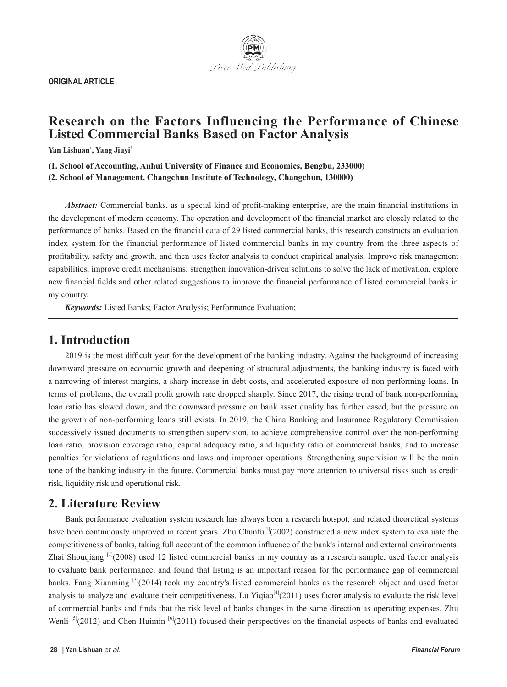**ORIGINAL ARTICLE**



## **Research on the Factors Influencing the Performance of Chinese Listed Commercial Banks Based on Factor Analysis**

**Yan Lishuan<sup>1</sup> , Yang Jiuyi2**

**(1. School of Accounting, Anhui University of Finance and Economics, Bengbu, 233000) (2. School of Management, Changchun Institute of Technology, Changchun, 130000)**

*Abstract:* Commercial banks, as a special kind of profit-making enterprise, are the main financial institutions in the development of modern economy. The operation and development of the financial market are closely related to the performance of banks. Based on the financial data of 29 listed commercial banks, this research constructs an evaluation index system for the financial performance of listed commercial banks in my country from the three aspects of profitability, safety and growth, and then uses factor analysis to conduct empirical analysis. Improve risk management capabilities, improve credit mechanisms; strengthen innovation-driven solutions to solve the lack of motivation, explore new financial fields and other related suggestions to improve the financial performance of listed commercial banks in my country.

*Keywords:* Listed Banks; Factor Analysis; Performance Evaluation;

## **1. Introduction**

2019 is the most difficult year for the development of the banking industry. Against the background of increasing downward pressure on economic growth and deepening of structural adjustments, the banking industry is faced with a narrowing of interest margins, a sharp increase in debt costs, and accelerated exposure of non-performing loans. In terms of problems, the overall profit growth rate dropped sharply. Since 2017, the rising trend of bank non-performing loan ratio has slowed down, and the downward pressure on bank asset quality has further eased, but the pressure on the growth of non-performing loans still exists. In 2019, the China Banking and Insurance Regulatory Commission successively issued documents to strengthen supervision, to achieve comprehensive control over the non-performing loan ratio, provision coverage ratio, capital adequacy ratio, and liquidity ratio of commercial banks, and to increase penalties for violations of regulations and laws and improper operations. Strengthening supervision will be the main tone of the banking industry in the future. Commercial banks must pay more attention to universal risks such as credit risk, liquidity risk and operational risk.

## **2. Literature Review**

Bank performance evaluation system research has always been a research hotspot, and related theoretical systems have been continuously improved in recent years. Zhu Chunfu $\left[1\right]$ (2002) constructed a new index system to evaluate the competitiveness of banks, taking full account of the common influence of the bank's internal and external environments. Zhai Shouqiang <sup>[2]</sup>(2008) used 12 listed commercial banks in my country as a research sample, used factor analysis to evaluate bank performance, and found that listing is an important reason for the performance gap of commercial banks. Fang Xianming  $\frac{[3]}{2014}$  took my country's listed commercial banks as the research object and used factor analysis to analyze and evaluate their competitiveness. Lu Yiqiao $[4]$ (2011) uses factor analysis to evaluate the risk level of commercial banks and finds that the risk level of banks changes in the same direction as operating expenses. Zhu Wenli  $[5]$ (2012) and Chen Huimin  $[6]$ (2011) focused their perspectives on the financial aspects of banks and evaluated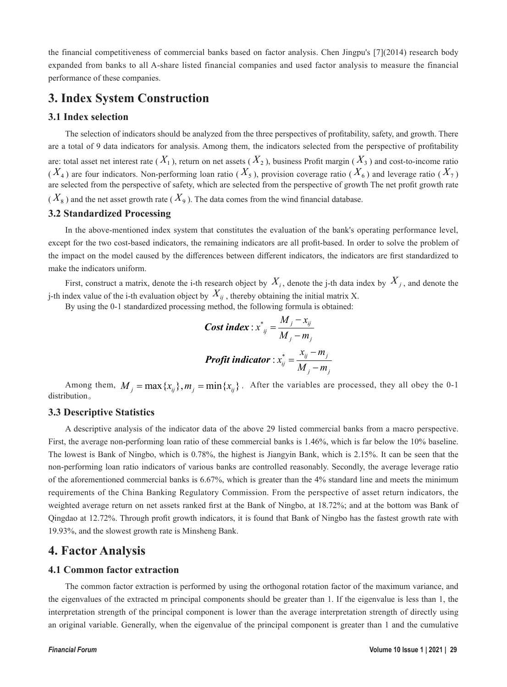the financial competitiveness of commercial banks based on factor analysis. Chen Jingpu's [7](2014) research body expanded from banks to all A-share listed financial companies and used factor analysis to measure the financial performance of these companies.

## **3. Index System Construction**

### **3.1 Index selection**

The selection of indicators should be analyzed from the three perspectives of profitability, safety, and growth. There are a total of 9 data indicators for analysis. Among them, the indicators selected from the perspective of profitability are: total asset net interest rate  $(X_1)$ , return on net assets  $(X_2)$ , business Profit margin  $(X_3)$  and cost-to-income ratio  $(X_4)$  are four indicators. Non-performing loan ratio  $(X_5)$ , provision coverage ratio  $(X_6)$  and leverage ratio  $(X_7)$ are selected from the perspective of safety, which are selected from the perspective of growth The net profit growth rate  $(X_8)$  and the net asset growth rate  $(X_9)$ . The data comes from the wind financial database.

### **3.2 Standardized Processing**

In the above-mentioned index system that constitutes the evaluation of the bank's operating performance level, except for the two cost-based indicators, the remaining indicators are all profit-based. In order to solve the problem of the impact on the model caused by the differences between different indicators, the indicators are first standardized to make the indicators uniform.

First, construct a matrix, denote the i-th research object by  $X_i$ , denote the j-th data index by  $X_i$ , and denote the j-th index value of the i-th evaluation object by  $X_{ii}$ , thereby obtaining the initial matrix X.

By using the 0-1 standardized processing method, the following formula is obtained:

Cost index: 
$$
x^*_{ij} = \frac{M_j - x_{ij}}{M_j - m_j}
$$
  
\nProfit indicator:  $x^*_{ij} = \frac{x_{ij} - m_j}{M_j - m_j}$ 

Among them,  $M_i = \max\{x_{ij}\}, m_i = \min\{x_{ij}\}\$ . After the variables are processed, they all obey the 0-1 distribution。

#### **3.3 Descriptive Statistics**

A descriptive analysis of the indicator data of the above 29 listed commercial banks from a macro perspective. First, the average non-performing loan ratio of these commercial banks is 1.46%, which is far below the 10% baseline. The lowest is Bank of Ningbo, which is 0.78%, the highest is Jiangyin Bank, which is 2.15%. It can be seen that the non-performing loan ratio indicators of various banks are controlled reasonably. Secondly, the average leverage ratio of the aforementioned commercial banks is 6.67%, which is greater than the 4% standard line and meets the minimum requirements of the China Banking Regulatory Commission. From the perspective of asset return indicators, the weighted average return on net assets ranked first at the Bank of Ningbo, at 18.72%; and at the bottom was Bank of Qingdao at 12.72%. Through profit growth indicators, it is found that Bank of Ningbo has the fastest growth rate with 19.93%, and the slowest growth rate is Minsheng Bank.

### **4. Factor Analysis**

### **4.1 Common factor extraction**

The common factor extraction is performed by using the orthogonal rotation factor of the maximum variance, and the eigenvalues of the extracted m principal components should be greater than 1. If the eigenvalue is less than 1, the interpretation strength of the principal component is lower than the average interpretation strength of directly using an original variable. Generally, when the eigenvalue of the principal component is greater than 1 and the cumulative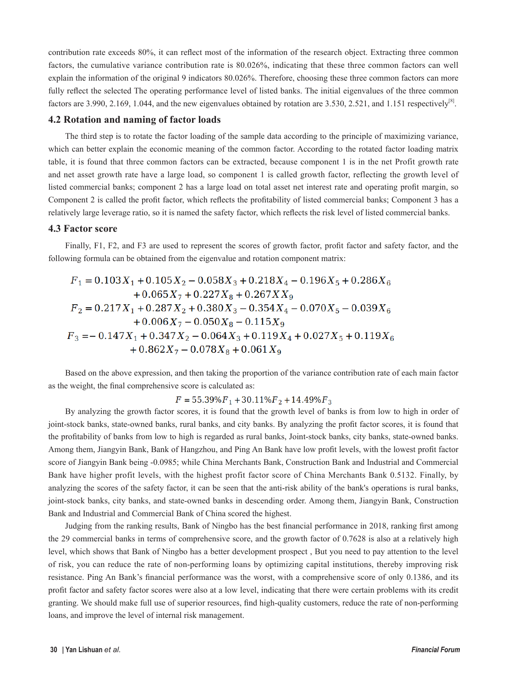contribution rate exceeds 80%, it can reflect most of the information of the research object. Extracting three common factors, the cumulative variance contribution rate is 80.026%, indicating that these three common factors can well explain the information of the original 9 indicators 80.026%. Therefore, choosing these three common factors can more fully reflect the selected The operating performance level of listed banks. The initial eigenvalues of the three common factors are 3.990, 2.169, 1.044, and the new eigenvalues obtained by rotation are 3.530, 2.521, and 1.151 respectively $|8\rangle$ .

### **4.2 Rotation and naming of factor loads**

The third step is to rotate the factor loading of the sample data according to the principle of maximizing variance, which can better explain the economic meaning of the common factor. According to the rotated factor loading matrix table, it is found that three common factors can be extracted, because component 1 is in the net Profit growth rate and net asset growth rate have a large load, so component 1 is called growth factor, reflecting the growth level of listed commercial banks; component 2 has a large load on total asset net interest rate and operating profit margin, so Component 2 is called the profit factor, which reflects the profitability of listed commercial banks; Component 3 has a relatively large leverage ratio, so it is named the safety factor, which reflects the risk level of listed commercial banks.

#### **4.3 Factor score**

Finally, F1, F2, and F3 are used to represent the scores of growth factor, profit factor and safety factor, and the following formula can be obtained from the eigenvalue and rotation component matrix:

$$
F_1 = 0.103X_1 + 0.105X_2 - 0.058X_3 + 0.218X_4 - 0.196X_5 + 0.286X_6
$$
  
+ 0.065X<sub>7</sub> + 0.227X<sub>8</sub> + 0.267XX<sub>9</sub>  

$$
F_2 = 0.217X_1 + 0.287X_2 + 0.380X_3 - 0.354X_4 - 0.070X_5 - 0.039X_6
$$
  
+ 0.006X<sub>7</sub> - 0.050X<sub>8</sub> - 0.115X<sub>9</sub>  

$$
F_3 = -0.147X_1 + 0.347X_2 - 0.064X_3 + 0.119X_4 + 0.027X_5 + 0.119X_6
$$
  
+ 0.862X<sub>7</sub> - 0.078X<sub>8</sub> + 0.061X<sub>9</sub>

Based on the above expression, and then taking the proportion of the variance contribution rate of each main factor as the weight, the final comprehensive score is calculated as:

 $F = 55.39\%F_1 + 30.11\%F_2 + 14.49\%F_3$ 

By analyzing the growth factor scores, it is found that the growth level of banks is from low to high in order of joint-stock banks, state-owned banks, rural banks, and city banks. By analyzing the profit factor scores, it is found that the profitability of banks from low to high is regarded as rural banks, Joint-stock banks, city banks, state-owned banks. Among them, Jiangyin Bank, Bank of Hangzhou, and Ping An Bank have low profit levels, with the lowest profit factor score of Jiangyin Bank being -0.0985; while China Merchants Bank, Construction Bank and Industrial and Commercial Bank have higher profit levels, with the highest profit factor score of China Merchants Bank 0.5132. Finally, by analyzing the scores of the safety factor, it can be seen that the anti-risk ability of the bank's operations is rural banks, joint-stock banks, city banks, and state-owned banks in descending order. Among them, Jiangyin Bank, Construction Bank and Industrial and Commercial Bank of China scored the highest.

Judging from the ranking results, Bank of Ningbo has the best financial performance in 2018, ranking first among the 29 commercial banks in terms of comprehensive score, and the growth factor of 0.7628 is also at a relatively high level, which shows that Bank of Ningbo has a better development prospect , But you need to pay attention to the level of risk, you can reduce the rate of non-performing loans by optimizing capital institutions, thereby improving risk resistance. Ping An Bank's financial performance was the worst, with a comprehensive score of only 0.1386, and its profit factor and safety factor scores were also at a low level, indicating that there were certain problems with its credit granting. We should make full use of superior resources, find high-quality customers, reduce the rate of non-performing loans, and improve the level of internal risk management.